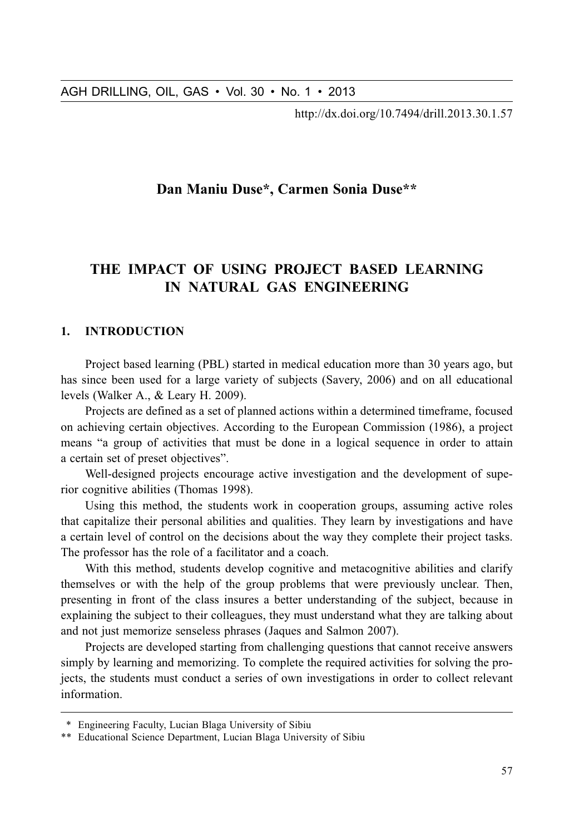http://dx.doi.org/10.7494/drill.2013.30.1.57

## Dan Maniu Duse\*, Carmen Sonia Duse\*\*

# THE IMPACT OF USING PROJECT BASED LEARNING IN NATURAL GAS ENGINEERING

#### $\mathbf{1}$ **INTRODUCTION**

Project based learning (PBL) started in medical education more than 30 years ago, but has since been used for a large variety of subjects (Savery, 2006) and on all educational levels (Walker A., & Leary H. 2009).

Projects are defined as a set of planned actions within a determined timeframe, focused on achieving certain objectives. According to the European Commission (1986), a project means "a group of activities that must be done in a logical sequence in order to attain a certain set of preset objectives".

Well-designed projects encourage active investigation and the development of superior cognitive abilities (Thomas 1998).

Using this method, the students work in cooperation groups, assuming active roles that capitalize their personal abilities and qualities. They learn by investigations and have a certain level of control on the decisions about the way they complete their project tasks. The professor has the role of a facilitator and a coach.

With this method, students develop cognitive and metacognitive abilities and clarify themselves or with the help of the group problems that were previously unclear. Then, presenting in front of the class insures a better understanding of the subject, because in explaining the subject to their colleagues, they must understand what they are talking about and not just memorize senseless phrases (Jaques and Salmon 2007).

Projects are developed starting from challenging questions that cannot receive answers simply by learning and memorizing. To complete the required activities for solving the projects, the students must conduct a series of own investigations in order to collect relevant information.

<sup>\*</sup> Engineering Faculty, Lucian Blaga University of Sibiu

<sup>\*\*</sup> Educational Science Department, Lucian Blaga University of Sibiu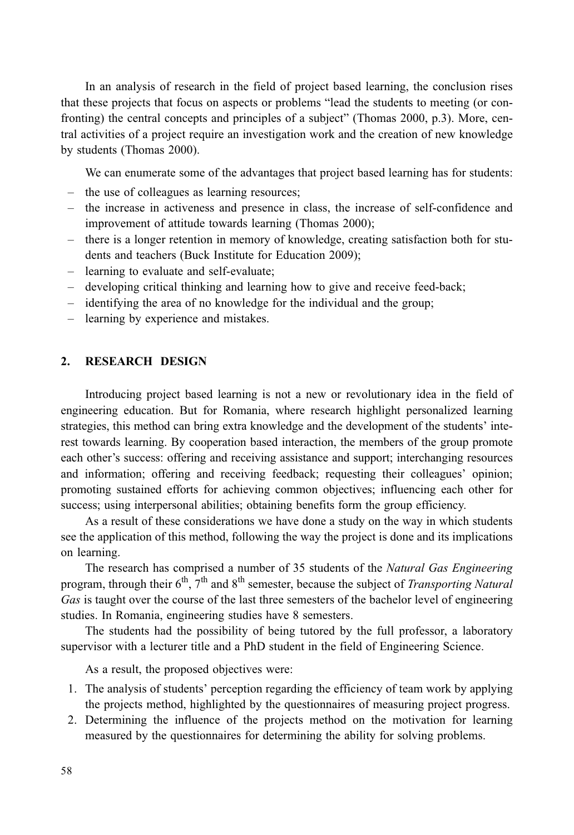In an analysis of research in the field of project based learning, the conclusion rises that these projects that focus on aspects or problems "lead the students to meeting (or confronting) the central concepts and principles of a subject" (Thomas 2000, p.3). More, central activities of a project require an investigation work and the creation of new knowledge by students (Thomas 2000).

We can enumerate some of the advantages that project based learning has for students:

- the use of colleagues as learning resources;
- the increase in activeness and presence in class, the increase of self-confidence and improvement of attitude towards learning (Thomas 2000);
- there is a longer retention in memory of knowledge, creating satisfaction both for students and teachers (Buck Institute for Education 2009);
- learning to evaluate and self-evaluate;
- developing critical thinking and learning how to give and receive feed-back;
- identifying the area of no knowledge for the individual and the group;
- learning by experience and mistakes.

#### $2.$ **RESEARCH DESIGN**

Introducing project based learning is not a new or revolutionary idea in the field of engineering education. But for Romania, where research highlight personalized learning strategies, this method can bring extra knowledge and the development of the students' interest towards learning. By cooperation based interaction, the members of the group promote each other's success: offering and receiving assistance and support; interchanging resources and information; offering and receiving feedback; requesting their colleagues' opinion; promoting sustained efforts for achieving common objectives; influencing each other for success; using interpersonal abilities; obtaining benefits form the group efficiency.

As a result of these considerations we have done a study on the way in which students see the application of this method, following the way the project is done and its implications on learning.

The research has comprised a number of 35 students of the Natural Gas Engineering program, through their  $6^{th}$ ,  $7^{th}$  and  $8^{th}$  semester, because the subject of *Transporting Natural* Gas is taught over the course of the last three semesters of the bachelor level of engineering studies. In Romania, engineering studies have 8 semesters.

The students had the possibility of being tutored by the full professor, a laboratory supervisor with a lecturer title and a PhD student in the field of Engineering Science.

As a result, the proposed objectives were:

- 1. The analysis of students' perception regarding the efficiency of team work by applying the projects method, highlighted by the questionnaires of measuring project progress.
- 2. Determining the influence of the projects method on the motivation for learning measured by the questionnaires for determining the ability for solving problems.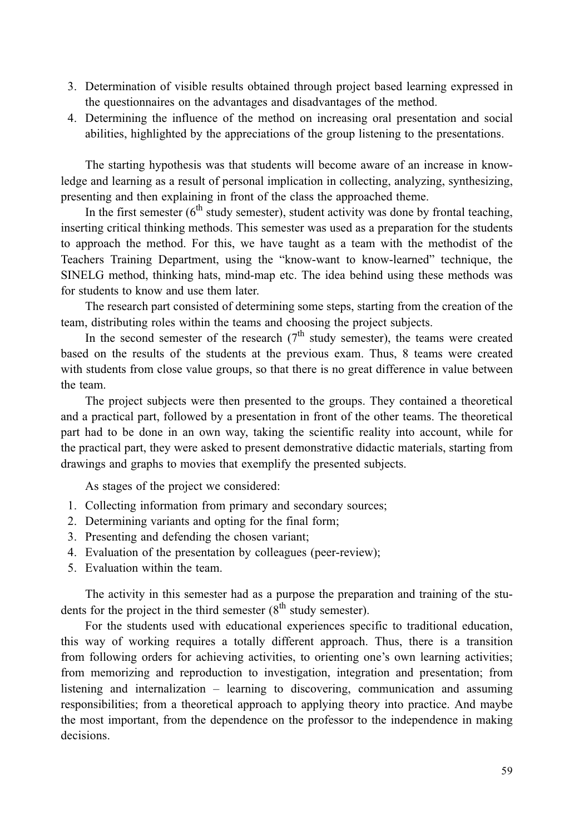- 3. Determination of visible results obtained through project based learning expressed in the questionnaires on the advantages and disadvantages of the method.
- 4. Determining the influence of the method on increasing oral presentation and social abilities, highlighted by the appreciations of the group listening to the presentations.

The starting hypothesis was that students will become aware of an increase in knowledge and learning as a result of personal implication in collecting, analyzing, synthesizing, presenting and then explaining in front of the class the approached theme.

In the first semester  $(6^{th}$  study semester), student activity was done by frontal teaching, inserting critical thinking methods. This semester was used as a preparation for the students to approach the method. For this, we have taught as a team with the methodist of the Teachers Training Department, using the "know-want to know-learned" technique, the SINELG method, thinking hats, mind-map etc. The idea behind using these methods was for students to know and use them later.

The research part consisted of determining some steps, starting from the creation of the team, distributing roles within the teams and choosing the project subjects.

In the second semester of the research  $(7<sup>th</sup>$  study semester), the teams were created based on the results of the students at the previous exam. Thus, 8 teams were created with students from close value groups, so that there is no great difference in value between the team.

The project subjects were then presented to the groups. They contained a theoretical and a practical part, followed by a presentation in front of the other teams. The theoretical part had to be done in an own way, taking the scientific reality into account, while for the practical part, they were asked to present demonstrative didactic materials, starting from drawings and graphs to movies that exemplify the presented subjects.

As stages of the project we considered:

- 1. Collecting information from primary and secondary sources;
- 2. Determining variants and opting for the final form;
- 3. Presenting and defending the chosen variant;
- 4. Evaluation of the presentation by colleagues (peer-review);
- 5. Evaluation within the team.

The activity in this semester had as a purpose the preparation and training of the students for the project in the third semester  $(8^{th}$  study semester).

For the students used with educational experiences specific to traditional education, this way of working requires a totally different approach. Thus, there is a transition from following orders for achieving activities, to orienting one's own learning activities; from memorizing and reproduction to investigation, integration and presentation; from listening and internalization – learning to discovering, communication and assuming responsibilities; from a theoretical approach to applying theory into practice. And maybe the most important, from the dependence on the professor to the independence in making decisions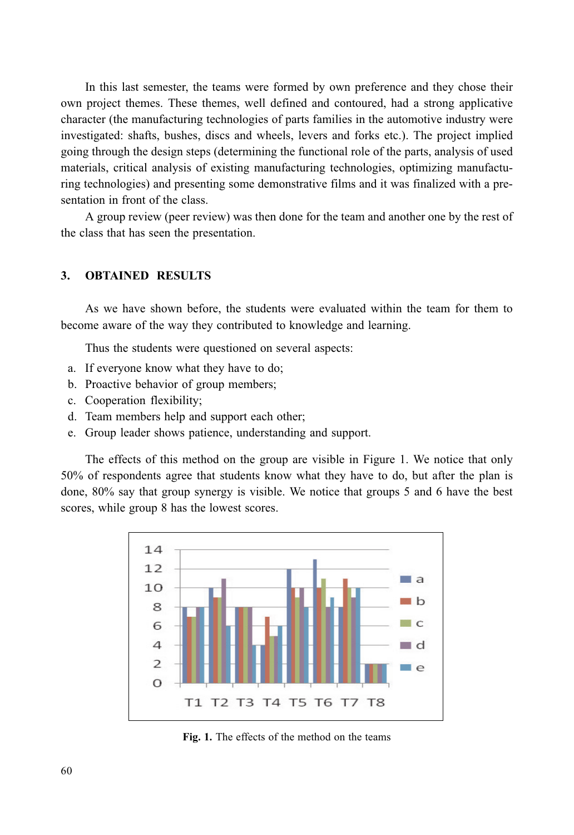In this last semester, the teams were formed by own preference and they chose their own project themes. These themes, well defined and contoured, had a strong applicative character (the manufacturing technologies of parts families in the automotive industry were investigated: shafts, bushes, discs and wheels, levers and forks etc.). The project implied going through the design steps (determining the functional role of the parts, analysis of used materials, critical analysis of existing manufacturing technologies, optimizing manufacturing technologies) and presenting some demonstrative films and it was finalized with a presentation in front of the class.

A group review (peer review) was then done for the team and another one by the rest of the class that has seen the presentation.

#### **OBTAINED RESULTS** 3.

As we have shown before, the students were evaluated within the team for them to become aware of the way they contributed to knowledge and learning.

Thus the students were questioned on several aspects:

- a. If everyone know what they have to do;
- b. Proactive behavior of group members;
- c. Cooperation flexibility;
- d. Team members help and support each other;
- e. Group leader shows patience, understanding and support.

The effects of this method on the group are visible in Figure 1. We notice that only 50% of respondents agree that students know what they have to do, but after the plan is done, 80% say that group synergy is visible. We notice that groups 5 and 6 have the best scores, while group 8 has the lowest scores.



Fig. 1. The effects of the method on the teams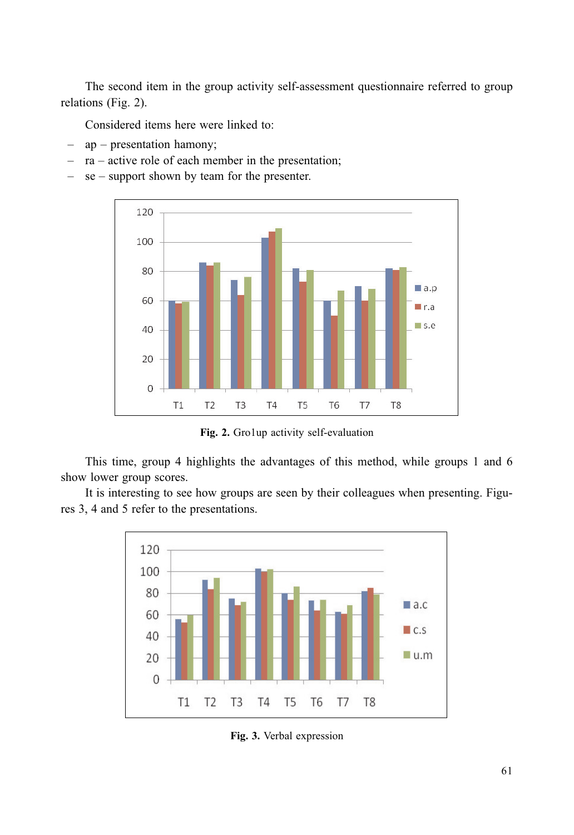The second item in the group activity self-assessment questionnaire referred to group relations (Fig. 2).

Considered items here were linked to:

- $ap$  presentation hamony;
- $ra active$  role of each member in the presentation;
- $se$  support shown by team for the presenter.



Fig. 2. Gro1up activity self-evaluation

This time, group 4 highlights the advantages of this method, while groups 1 and 6 show lower group scores.

It is interesting to see how groups are seen by their colleagues when presenting. Figures 3, 4 and 5 refer to the presentations.



Fig. 3. Verbal expression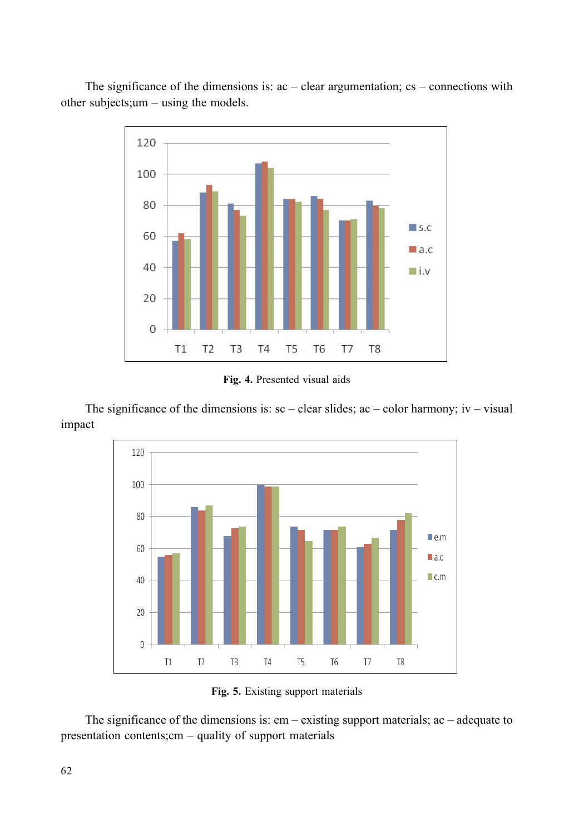The significance of the dimensions is:  $ac - clear$  argumentation;  $cs - connections$  with other subjects;  $um - using the models.$ 



Fig. 4. Presented visual aids

The significance of the dimensions is:  $\text{sc}$  – clear slides;  $\text{ac}$  – color harmony;  $\text{i}$  v – visual impact



Fig. 5. Existing support materials

The significance of the dimensions is:  $em -$  existing support materials; ac – adequate to presentation contents; cm  $-$  quality of support materials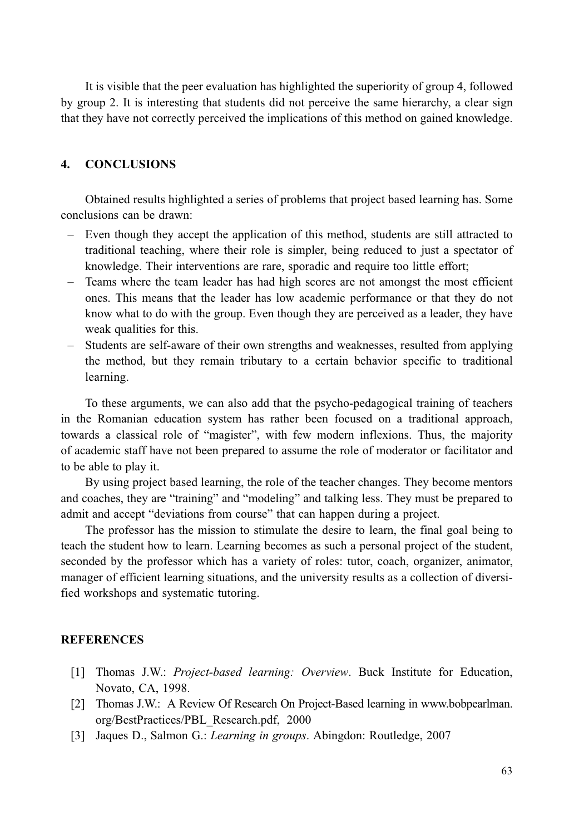It is visible that the peer evaluation has highlighted the superiority of group 4, followed by group 2. It is interesting that students did not perceive the same hierarchy, a clear sign that they have not correctly perceived the implications of this method on gained knowledge.

#### $\blacktriangle$ **CONCLUSIONS**

Obtained results highlighted a series of problems that project based learning has. Some conclusions can be drawn:

- Even though they accept the application of this method, students are still attracted to traditional teaching, where their role is simpler, being reduced to just a spectator of knowledge. Their interventions are rare, sporadic and require too little effort;
- Teams where the team leader has had high scores are not amongst the most efficient ones. This means that the leader has low academic performance or that they do not know what to do with the group. Even though they are perceived as a leader, they have weak qualities for this.
- Students are self-aware of their own strengths and weaknesses, resulted from applying the method, but they remain tributary to a certain behavior specific to traditional learning.

To these arguments, we can also add that the psycho-pedagogical training of teachers in the Romanian education system has rather been focused on a traditional approach, towards a classical role of "magister", with few modern inflexions. Thus, the majority of academic staff have not been prepared to assume the role of moderator or facilitator and to be able to play it.

By using project based learning, the role of the teacher changes. They become mentors and coaches, they are "training" and "modeling" and talking less. They must be prepared to admit and accept "deviations from course" that can happen during a project.

The professor has the mission to stimulate the desire to learn, the final goal being to teach the student how to learn. Learning becomes as such a personal project of the student, seconded by the professor which has a variety of roles: tutor, coach, organizer, animator, manager of efficient learning situations, and the university results as a collection of diversified workshops and systematic tutoring.

### **REFERENCES**

- [1] Thomas J.W.: Project-based learning: Overview. Buck Institute for Education, Novato, CA, 1998.
- [2] Thomas J.W.: A Review Of Research On Project-Based learning in www.bobpearlman. org/BestPractices/PBL Research.pdf, 2000
- [3] Jaques D., Salmon G.: Learning in groups. Abingdon: Routledge, 2007